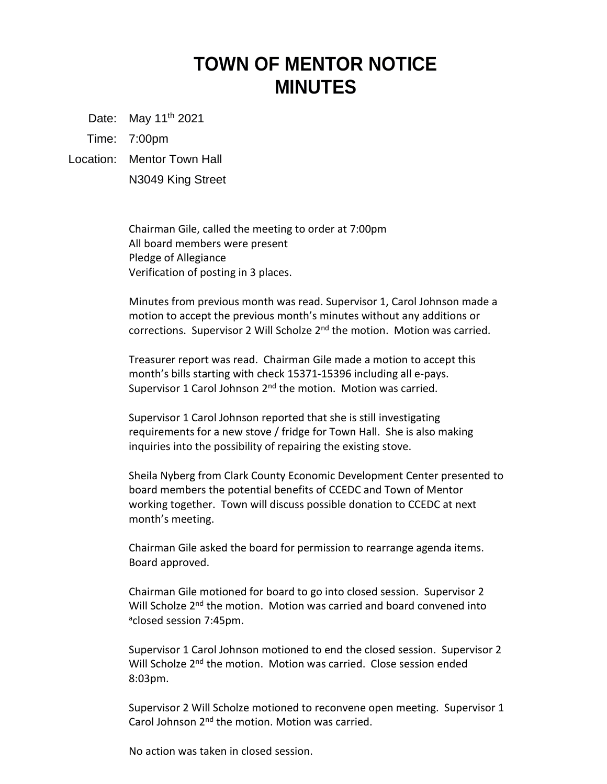## **TOWN OF MENTOR NOTICE MINUTES**

Date: May 11<sup>th</sup> 2021

Time: 7:00pm

Location: Mentor Town Hall

N3049 King Street

Chairman Gile, called the meeting to order at 7:00pm All board members were present Pledge of Allegiance Verification of posting in 3 places.

Minutes from previous month was read. Supervisor 1, Carol Johnson made a motion to accept the previous month's minutes without any additions or corrections. Supervisor 2 Will Scholze 2<sup>nd</sup> the motion. Motion was carried.

Treasurer report was read. Chairman Gile made a motion to accept this month's bills starting with check 15371-15396 including all e-pays. Supervisor 1 Carol Johnson  $2^{nd}$  the motion. Motion was carried.

Supervisor 1 Carol Johnson reported that she is still investigating requirements for a new stove / fridge for Town Hall. She is also making inquiries into the possibility of repairing the existing stove.

Sheila Nyberg from Clark County Economic Development Center presented to board members the potential benefits of CCEDC and Town of Mentor working together. Town will discuss possible donation to CCEDC at next month's meeting.

Chairman Gile asked the board for permission to rearrange agenda items. Board approved.

Chairman Gile motioned for board to go into closed session. Supervisor 2 Will Scholze 2<sup>nd</sup> the motion. Motion was carried and board convened into <sup>a</sup>closed session 7:45pm.

Supervisor 1 Carol Johnson motioned to end the closed session. Supervisor 2 Will Scholze 2<sup>nd</sup> the motion. Motion was carried. Close session ended 8:03pm.

Supervisor 2 Will Scholze motioned to reconvene open meeting. Supervisor 1 Carol Johnson 2<sup>nd</sup> the motion. Motion was carried.

No action was taken in closed session.